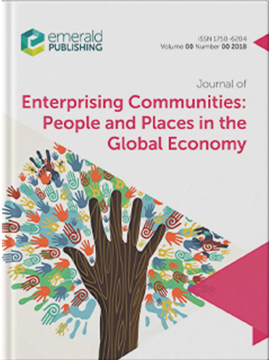

ISSN 1750-6204 Volume 00 Number 00 2018

Journal of

# **Enterprising Communities:** People and Places in the **Global Economy**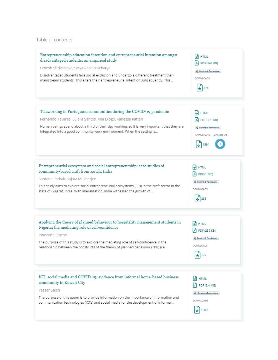#### Table of contents

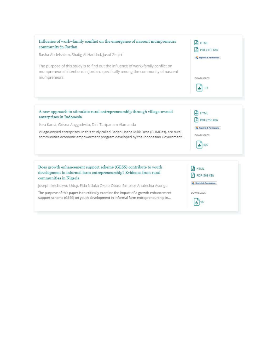

Does growth enhancement support scheme (GESS) contribute to youth development in informal farm entrepreneurship? Evidence from rural communities in Nigeria

Joseph Ikechukwu Uduji, Elda Nduka Okolo-Obasi, Simplice Anutechia Asongu

The purpose of this paper is to critically examine the impact of a growth enhancement support scheme (GESS) on youth development in informal farm entrepreneurship in...

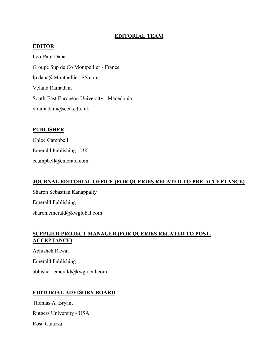## **EDITORIAL TEAM**

## **EDITOR**

Leo-Paul Dana Groupe Sup de Co Montpellier - France lp.dana@Montpellier-BS.com Veland Ramadani South-East European University - Macedonia v.ramadani@seeu.edu.mk

### **PUBLISHER**

Chloe Campbell Emerald Publishing - UK ccampbell@emerald.com

## **JOURNAL EDITORIAL OFFICE (FOR QUERIES RELATED TO PRE-ACCEPTANCE)**

Sharon Sebastian Kanappally Emerald Publishing sharon.emerald@kwglobal.com

## **SUPPLIER PROJECT MANAGER (FOR QUERIES RELATED TO POST-ACCEPTANCE)**

Abhishek Rawat Emerald Publishing abhishek.emerald@kwglobal.com

## **EDITORIAL ADVISORY BOARD**

Thomas A. Bryant Rutgers University - USA Rosa Caiazza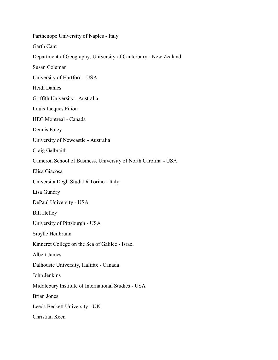Parthenope University of Naples - Italy Garth Cant Department of Geography, University of Canterbury - New Zealand Susan Coleman University of Hartford - USA Heidi Dahles Griffith University - Australia Louis Jacques Filion HEC Montreal - Canada Dennis Foley University of Newcastle - Australia Craig Galbraith Cameron School of Business, University of North Carolina - USA Elisa Giacosa Universita Degli Studi Di Torino - Italy Lisa Gundry DePaul University - USA Bill Hefley University of Pittsburgh - USA Sibylle Heilbrunn Kinneret College on the Sea of Galilee - Israel Albert James Dalhousie University, Halifax - Canada John Jenkins Middlebury Institute of International Studies - USA Brian Jones Leeds Beckett University - UK Christian Keen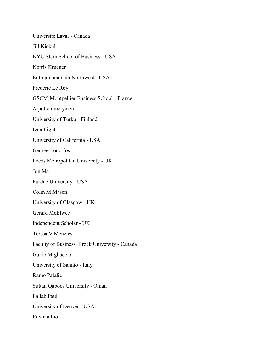Université Laval - Canada Jill Kickul NYU Stern School of Business - USA Norris Krueger Entrepreneurship Northwest - USA Frederic Le Roy GSCM-Montpellier Business School - France Arja Lemmetyinen University of Turku - Finland Ivan Light University of California - USA George Lodorfos Leeds Metropolitan University - UK Jun Ma Purdue University - USA Colin M Mason University of Glasgow - UK Gerard McElwee Independent Scholar - UK Teresa V Menzies Faculty of Business, Brock University - Canada Guido Migliaccio University of Sannio - Italy Ramo Palalić Sultan Qaboos University - Oman Pallab Paul University of Denver - USA Edwina Pio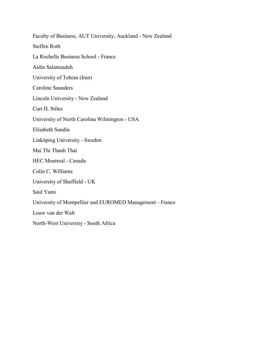Faculty of Business, AUT University, Auckland - New Zealand Steffen Roth La Rochelle Business School - France Aidin Salamzadeh University of Tehran (Iran) Caroline Saunders Lincoln University - New Zealand Curt H. Stiles University of North Carolina Wilmington - USA Elisabeth Sundin Linköping University - Sweden Mai Thi Thanh Thai HEC Montreal - Canada Colin C. Williams University of Sheffield - UK Said Yami University of Montpellier and EUROMED Management - France Louw van der Walt North-West University - South Africa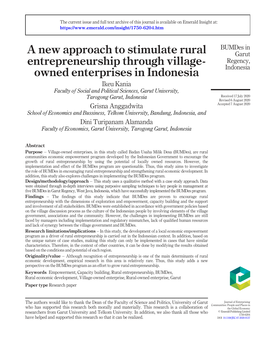## A new approach to stimulate rural entrepreneurship through villageowned enterprises in Indonesia

Ikeu Kania *Faculty of Social and Political Sciences, Garut University, Tarogong Garut, Indonesia*

Grisna Anggadwita *School of Economics and Bussiness, Telkom University, Bandung, Indonesia, and*

Dini Turipanam Alamanda *Faculty of Economics, Garut University, Tarogong Garut, Indonesia*

#### Abstract

Purpose – Village-owned enterprises, in this study called Badan Usaha Milik Desa (BUMDes), are rural communities economic empowerment program developed by the Indonesian Government to encourage the growth of rural entrepreneurship by using the potential of locally owned resources. However, the implementation and effect of the BUMDes program are questionable. Thus, this study aims to investigate the role of BUMDes in encouraging rural entrepreneurship and strengthening rural economic development. In addition, this study also explores challenges in implementing the BUMDes program.

Design/methodology/approach – This study uses a qualitative method with a case study approach. Data were obtained through in-depth interviews using purposive sampling techniques to key people in management at five BUMDes in Garut Regency, West Java, Indonesia, which have successfully implemented the BUMDes program.

Findings – The findings of this study indicate that BUMDes are proven to encourage rural entrepreneurship with the dimensions of exploration and empowerment, capacity building and the support and involvement of all stakeholders. BUMDes were established in accordance with government policies based on the village discussion process as the culture of the Indonesian people by involving elements of the village government, associations and the community. However, the challenges in implementing BUMDes are still faced by managers including implementation and regulatory mismatches, lack of qualified human resources and lack of synergy between the village government and BUMDes.

Research limitations/implications – In this study, the development of a local economic empowerment program as a driver of rural entrepreneurship is carried out in the Indonesian context. In addition, based on the unique nature of case studies, making this study can only be implemented in cases that have similar characteristics. Therefore, in the context of other countries, it can be done by modifying the results obtained based on the conditions and potential of each region.

**Originality/value** – Although recognition of entrepreneurship is one of the main determinants of rural economic development, empirical research in this area is relatively rare. Thus, this study adds a new perspective on the BUMDes program as an effort to grow rural entrepreneurship.

Keywords Empowerment, Capacity building, Rural entrepreneurship, BUMDes, Rural economic development, Village-owned enterprise, Rural-owned enterprise, Garut

Paper type Research paper

The authors would like to thank the Dean of the Faculty of Science and Politics, University of Garut who has supported this research both morally and materially. This research is a collaboration of researchers from Garut University and Telkom University. In addition, we also thank all those who have helped and supported this research so that it can be realized.

BUMDes in Garut Regency, Indonesia

Received 17 July 2020 Revised 6 August 2020 Accepted 7 August 2020



Journal of Enterprising Communities: People and Places in the Global Economy © Emerald Publishing Limited 1750-6204 DOI [10.1108/JEC-07-2020-0137](http://dx.doi.org/10.1108/JEC-07-2020-0137)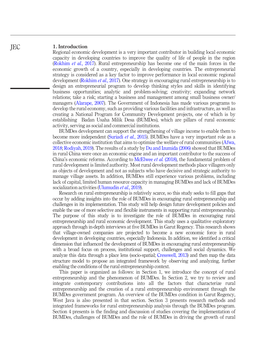#### 1. Introduction

Regional economic development is a very important contributor in building local economic capacity in developing countries to improve the quality of life of people in the region (Rokhim *et al.*, 2017). Rural entrepreneurship has become one of the main forces in the economic growth of a country, especially in developing countries. The entrepreneurial strategy is considered as a key factor to improve performance in local economic regional development (Rokhim *et al.*, 2017). One strategy in encouraging rural entrepreneurship is to design an entrepreneurial program to develop thinking styles and skills in identifying business opportunities; analytic and problem-solving; creativity; expanding network relations; take a risk; starting a business and management among small business owner/ managers (Alarape, 2007). The Government of Indonesia has made various programs to develop the rural economy, such as providing various facilities and infrastructure, as well as creating a National Program for Community Development projects, one of which is by establishing Badan Usaha Milik Desa (BUMDes), which are pillars of rural economic activity, serving as social and commercial institutions.

BUMDes development can support the strengthening of village income to enable them to become more independent (Suriadi *et al.*, 2015). BUMDes have a very important role as a collective economic institution that aims to optimize the welfare of rural communities (Afwa, 2018; Rodiyah, 2019). The results of a study by Du and Izumida (2006) showed that BUMDes in rural China were once an economic engine and an important contributor to the success of China's economic reforms. According to McElwee *et al.* (2018), the fundamental problem of rural development is limited authority. Most rural development methods place villagers only as objects of development and not as subjects who have decisive and strategic authority to manage village assets. In addition, BUMDes still experience various problems, including lack of capital, limited human resource capacity in managing BUMDes and lack of BUMDes socialization activities (Ulumudin *et al.*, 2019).

Research on rural entrepreneurship is relatively scarce, so this study seeks to fill gaps that occur by adding insights into the role of BUMDes in encouraging rural entrepreneurship and challenges in its implementation. This study will help design future development policies and enable the use of more selective and flexible instruments in supporting rural entrepreneurship. The purpose of this study is to investigate the role of BUMDes in encouraging rural entrepreneurship and rural economic development. This study uses a qualitative exploratory approach through in-depth interviews at five BUMDes in Garut Regency. This research shows that village-owned companies are projected to become a new economic force in rural development in developing countries, especially Indonesia. In addition, we identified a critical dimension that influenced the development of BUMDes in encouraging rural entrepreneurship with a broad focus on process, institutional support, challenges and social dynamics. We analyze this data through a place lens (socio-spatial; Cresswell, 2013) and then map the data structure model to propose an integrated framework by observing and analyzing, further enabling the conditions of the rural entrepreneurship context.

This paper is organized as follows: in Section 1, we introduce the concept of rural entrepreneurship and the phenomenon of BUMDes. In Section 2, we try to review and integrate contemporary contributions into all the factors that characterize rural entrepreneurship and the creation of a rural entrepreneurship environment through the BUMDes government program. An overview of the BUMDes condition in Garut Regency, West Java is also presented in that section. Section 3 presents research methods and integrated frameworks for rural entrepreneurship analysis through the BUMDes program. Section 4 presents is the finding and discussion of studies covering the implementation of BUMDes, challenges of BUMDes and the role of BUMDes in driving the growth of rural

**IEC**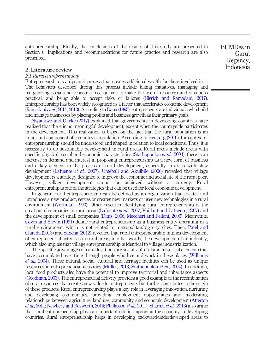entrepreneurship. Finally, the conclusions of the results of this study are presented in Section 6. Implications and recommendations for future practice and research are also presented.

#### 2. Literature review

#### *2.1 Rural entrepreneurship*

Entrepreneurship is a dynamic process that creates additional wealth for those involved in it. The behaviors described during this process include taking initiatives, managing and reorganizing social and economic mechanisms to make the use of resources and situations practical, and being able to accept risks or failures (Hisrich and Ramadani, 2017). Entrepreneurship has been widely recognized as a factor that accelerates economic development (Ramadani *et al.*, 2014, 2013). According to Dana (1995), entrepreneurs are individuals who build and manage businesses by placing profits and business growth as their primary goals.

Nwankwo and Okeke (2017) explained that governments in developing countries have realized that there is no meaningful development, except when the countryside participates in the development. This realization is based on the fact that the rural population is an important component of a country's population. According to Isenberg (2010), the context of entrepreneurship should be understood and shaped in relation to local conditions. Thus, it is necessary to do sustainable development in rural areas. Rural areas include areas with specific physical, social and economic characteristics (Stathopoulou *et al.*, 2004), there is an increase in demand and interest in proposing entrepreneurship as a new form of business and a key element in the process of rural development, especially in areas with slow development (Lafuente *et al.*, 2007). Umebali and Akuibilo (2006) revealed that village development is a strategy designed to improve the economic and social life of the rural poor. However, village development cannot be achieved without a strategy. Rural entrepreneurship is one of the strategies that can be used for local economic development.

In general, rural entrepreneurship can be defined as an organization that creates and introduces a new product, serves or creates new markets or uses new technologies in a rural environment (Wortman, 1990). Other research identifying rural entrepreneurship is the creation of companies in rural areas (Lafuente *et al.*, 2007; Vaillant and Lafuente, 2007) and the development of small companies (Dinis, 2006; Meccheri and Pelloni, 2006). Meanwhile, Covin and Slevin (1991) define rural entrepreneurship as a business entity operating in a rural environment, which is not related to metropolitan/big city sites. Then, Patel and Chavda (2013) and Saxena (2012) revealed that rural entrepreneurship implies development of entrepreneurial activities in rural areas, in other words, the development of an industry, which also implies that village entrepreneurship is identical to village industrialization.

The specific advantages of rural locations are social, cultural and historical elements that have accumulated over time through people who live and work in these places (Williams *et al.*, 2004). These natural, social, cultural and heritage facilities can be used as unique resources in entrepreneurial activities (Müller, 2013; Stathopoulou *et al.*, 2004). In addition, local food products also have the potential to improve territorial and inheritance aspects (Goodman, 2003). The entrepreneurial activity provides a good example of the recombination of rural resources that creates new value for entrepreneurs but further contributes to the origin of these products. Rural entrepreneurship plays a key role in leveraging innovation, nurturing and developing communities, providing employment opportunities and moderating relationships between agriculture, land use, community and economic development (Atterton *et al.*, 2011; Newbery and Bosworth, 2014; Phillipson *et al.*, 2011). Sharma *et al.* (2013) also argue that rural entrepreneurship plays an important role in improving the economy in developing countries. Rural entrepreneurship helps in developing backward/underdeveloped areas to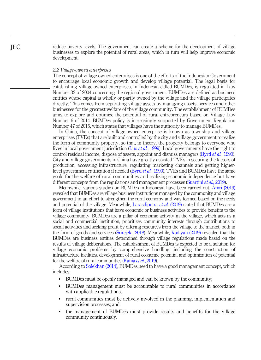reduce poverty levels. The government can create a scheme for the development of village businesses to explore the potential of rural areas, which in turn will help improve economic development.

#### *2.2 Village-owned enterprises*

The concept of village-owned enterprises is one of the efforts of the Indonesian Government to encourage local economic growth and develop village potential. The legal basis for establishing village-owned enterprises, in Indonesia called BUMDes, is regulated in Law Number 32 of 2004 concerning the regional government. BUMDes are defined as business entities whose capital is wholly or partly owned by the village and the village participates directly. This comes from separating village assets by managing assets, services and other businesses for the greatest welfare of the village community. The establishment of BUMDes aims to explore and optimize the potential of rural entrepreneurs based on Village Law Number 6 of 2014. BUMDes policy is increasingly supported by Government Regulation Number 47 of 2015, which states that villages have the authority to manage BUMDes.

In China, the concept of village-owned enterprise is known as township and village enterprises (TVEs) that are built and controlled by the city and village government to realize the form of community property, so that, in theory, the property belongs to everyone who lives in local government jurisdiction (Luo *et al.*, 1999). Local governments have the right to control residual income, dispose of assets, appoint and dismiss managers (Byrd *et al.*, 1990). City and village governments in China have greatly assisted TVEs in securing the factors of production, accessing infrastructure, regulating marketing channels and getting higherlevel government ratification if needed (Byrd *et al.*, 1990). TVEs and BUMDes have the same goals for the welfare of rural communities and realizing economic independence but have different concepts from the regulations and management processes (Suartini *et al.*, 2019).

Meanwhile, various studies on BUMDes in Indonesia have been carried out. Amri (2019) revealed that BUMDes are village business institutions managed by the community and village government in an effort to strengthen the rural economy and was formed based on the needs and potential of the village. Meanwhile, Larasdiputra *et al.* (2019) stated that BUMDes are a form of village institutions that have economic or business activities to provide benefits to the village community. BUMDes are a pillar of economic activity in the village, which acts as a social and commercial institution, prioritizes community interests through contributions to social activities and seeking profit by offering resources from the village to the market, both in the form of goods and services (Srirejeki, 2018). Meanwhile, Rodiyah (2019) revealed that the BUMDes are business entities determined through village regulations made based on the results of village deliberations. The establishment of BUMDes is expected to be a solution for village economic problems by comprehensive handling, including the construction of infrastructure facilities, development of rural economic potential and optimization of potential for the welfare of rural communities (Kania *et al.*, 2019).

According to Solekhan (2014), BUMDes need to have a good management concept, which includes:

- BUMDes must be openly managed and can be known by the community;
- BUMDes management must be accountable to rural communities in accordance with applicable regulations;
- rural communities must be actively involved in the planning, implementation and supervision processes; and
- the management of BUMDes must provide results and benefits for the village community continuously.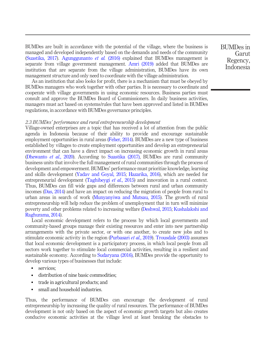BUMDes are built in accordance with the potential of the village, where the business is managed and developed independently based on the demands and needs of the community (Suastika, 2017). Agunggunanto *et al.* (2016) explained that BUMDes management is separate from village government management. Amri (2019) added that BUMDes are institution that are separate from the village administration, BUMDes have its own management structure and only need to coordinate with the village administration.

As an institution that also looks for profit, there is a mechanism that must be obeyed by BUMDes managers who work together with other parties. It is necessary to coordinate and cooperate with village governments in using economic resources. Business parties must consult and approve the BUMDes Board of Commissioners. In daily business activities, managers must act based on systems/rules that have been approved and listed in BUMDes regulations, in accordance with BUMDes governance principles.

#### *2.3 BUMDes*' *performance and rural entrepreneurship development*

Village-owned enterprises are a topic that has received a lot of attention from the public agenda in Indonesia because of their ability to provide and encourage sustainable employment opportunities in rural areas (Feher, 2014). BUMDes are a new type of business established by villages to create employment opportunities and develop an entrepreneurial environment that can have a direct impact on increasing economic growth in rural areas (Dhewanto *et al.*, 2020). According to Suastika (2017), BUMDes are rural community business units that involve the full management of rural communities through the process of development and empowerment. BUMDes' performance must prioritize knowledge, learning and skills development (Yadav and Goyal, 2015; Hazarika, 2016), which are needed for entrepreneurial development (Taghibeygi *et al.*, 2015) and innovation in a rural context. Thus, BUMDes can fill wide gaps and differences between rural and urban community incomes (Das, 2014) and have an impact on reducing the migration of people from rural to urban areas in search of work (Munyanyiwa and Mutsau, 2015). The growth of rural entrepreneurship will help reduce the problem of unemployment that in turn will minimize poverty and other problems related to increasing welfare (Deshwal, 2015; Kushalakshi and Raghurama, 2014).

Local economic development refers to the process by which local governments and community-based groups manage their existing resources and enter into new partnership arrangements with the private sector, or with one another, to create new jobs and to stimulate economic activity in the region (Purbasari *et al.*, 2019). Trousdale (2003) assumes that local economic development is a participatory process, in which local people from all sectors work together to stimulate local commercial activities, resulting in a resilient and sustainable economy. According to Sudaryana (2016), BUMDes provide the opportunity to develop various types of businesses that include:

- services:
- distribution of nine basic commodities;
- trade in agricultural products; and
- small and household industries.

Thus, the performance of BUMDes can encourage the development of rural entrepreneurship by increasing the quality of rural resources. The performance of BUMDes development is not only based on the aspect of economic growth targets but also creates conducive economic activities at the village level at least breaking the obstacles to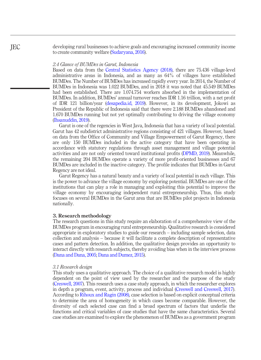developing rural businesses to achieve goals and encouraging increased community income to create community welfare (Sudaryana, 2016).

#### *2.4 Glance of BUMDes in Garut, Indonesia*

Based on data from the Central Statistics Agency (2018), there are 75.436 village-level administrative areas in Indonesia, and as many as 64% of villages have established BUMDes. The Number of BUMDes has increased rapidly every year. In 2014, the Number of BUMDes in Indonesia was 1.022 BUMDes, and in 2018 it was noted that 45.549 BUMDes had been established. There are 1.074.754 workers absorbed in the implementation of BUMDes. In addition, BUMDes' annual turnover reaches IDR 1.16 trillion, with a net profit of IDR 121 billion/year (desapedia.id, 2019). However, in its development, Jokowi as President of the Republic of Indonesia said that there were 2.188 BUMDes abandoned and 1.670 BUMDes running but not yet optimally contributing to driving the village economy (Ihsanuddin, 2019).

Garut is one of the regencies in West Java, Indonesia that has a variety of local potential. Garut has 42 subdistrict administrative regions consisting of 421 villages. However, based on data from the Office of Community and Village Empowerment of Garut Regency, there are only 150 BUMDes included in the active category that have been operating in accordance with statutory regulations through asset management and village potential activities and are not only oriented toward institutional profits (DPMD, 2019). Meanwhile, the remaining 204 BUMDes operate a variety of more profit-oriented businesses and 67 BUMDes are included in the inactive category. The profile indicates that BUMDes in Garut Regency are not ideal.

Garut Regency has a natural beauty and a variety of local potential in each village. This is the power to advance the village economy by exploring potential. BUMDes are one of the institutions that can play a role in managing and exploiting this potential to improve the village economy by encouraging independent rural entrepreneurship. Thus, this study focuses on several BUMDes in the Garut area that are BUMDes pilot projects in Indonesia nationally.

#### 3. Research methodology

The research questions in this study require an elaboration of a comprehensive view of the BUMDes program in encouraging rural entrepreneurship. Qualitative research is considered appropriate in exploratory studies to guide our research – including sample selection, data collection and analysis – because it will facilitate a complete description of representative cases and pattern detection. In addition, the qualitative design provides an opportunity to interact directly with research subjects, thereby avoiding bias when in the interview process (Dana and Dana, 2005; Dana and Dumez, 2015).

#### *3.1 Research design*

This study uses a qualitative approach. The choice of a qualitative research model is highly dependent on the point of view used by the researcher and the purpose of the study (Creswell, 2007). This research uses a case study approach, in which the researcher explores in depth a program, event, activity, process and individual (Creswell and Creswell, 2017). According to Rihoux and Ragin (2008), case selection is based on explicit conceptual criteria to determine the area of homogeneity in which cases become comparable. However, the diversity of each selected case can find a broad spectrum of factors that underlie the functions and critical variables of case studies that have the same characteristics. Several case studies are examined to explore the phenomenon of BUMDes as a government program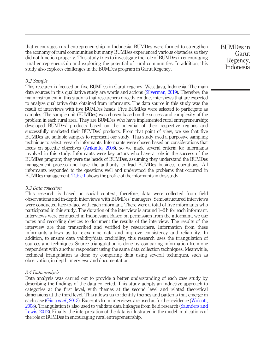that encourages rural entrepreneurship in Indonesia. BUMDes were formed to strengthen the economy of rural communities but many BUMDes experienced various obstacles so they did not function properly. This study tries to investigate the role of BUMDes in encouraging rural entrepreneurship and exploring the potential of rural communities. In addition, this study also explores challenges in the BUMDes program in Garut Regency.

BUMDes in Garut Regency, Indonesia

#### *3.2 Sample*

This research is focused on five BUMDes in Garut regency, West Java, Indonesia. The main data sources in this qualitative study are words and actions (Silverman, 2019). Therefore, the main instrument in this study is that researchers directly conduct interviews that are expected to analyze qualitative data obtained from informants. The data source in this study was the result of interviews with five BUMDes heads. Five BUMDes were selected to participate as samples. The sample unit (BUMDes) was chosen based on the success and complexity of the problem in each rural area. They are BUMDes who have implemented rural entrepreneurship; developed BUMDes' products based on the potential of their respective regions and successfully marketed their BUMDes' products. From that point of view, we see that five BUMDes are suitable samples to represent our study. This study used a purposive sampling technique to select research informants. Informants were chosen based on considerations that focus on specific objectives (Arikunto, 2006), so we made several criteria for informants involved in this study. Informants were key actors who have a role in the success of the BUMDes program; they were the heads of BUMDes, assuming they understand the BUMDes management process and have the authority to lead BUMDes business operations. All informants responded to the questions well and understood the problems that occurred in BUMDes management. Table 1 shows the profile of the informants in this study.

#### *3.3 Data collection*

This research is based on social context; therefore, data were collected from field observations and in-depth interviews with BUMDes' managers. Semi-structured interviews were conducted face-to-face with each informant. There were a total of five informants who participated in this study. The duration of the interview is around 1–2 h for each informant. Interviews were conducted in Indonesian. Based on permission from the informant, we use notes and recording devices to document the results of the interview. The results of the interview are then transcribed and verified by researchers. Information from these informants allows us to re-examine data and improve consistency and reliability. In addition, to ensure data validity/data credibility, this research uses the triangulation of sources and techniques. Source triangulation is done by comparing information from one respondent with another respondent using the same data collection techniques. Meanwhile, technical triangulation is done by comparing data using several techniques, such as observation, in-depth interviews and documentation.

#### *3.4 Data analysis*

Data analysis was carried out to provide a better understanding of each case study by describing the findings of the data collected. This study adopts an inductive approach to categories at the first level, with themes at the second level and related theoretical dimensions at the third level. This allows us to identify themes and patterns that emerge in each case (Gioia *et al.*, 2013). Excerpts from interviews are used as further evidence (Wolcott, 2008). Triangulation is also used to validate data linkages from field research (Saunders and Lewis, 2012). Finally, the interpretation of the data is illustrated in the model implications of the role of BUMDes in encouraging rural entrepreneurship.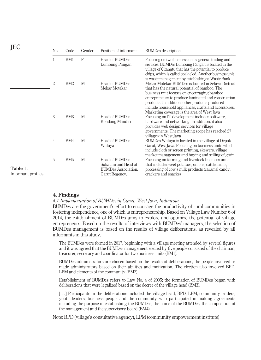| JEC                            |                |                 |              |                                                                                        |                                                                                                                                                                                                                                                                                                                                                                     |
|--------------------------------|----------------|-----------------|--------------|----------------------------------------------------------------------------------------|---------------------------------------------------------------------------------------------------------------------------------------------------------------------------------------------------------------------------------------------------------------------------------------------------------------------------------------------------------------------|
|                                | No.            | Code            | Gender       | Position of informant                                                                  | <b>BUMDes</b> description                                                                                                                                                                                                                                                                                                                                           |
|                                | 1              | BM1             | $\mathbf{F}$ | Head of BUMDes<br>Lumbung Pangan                                                       | Focusing on two business units: general trading and<br>services. BUMDes Lumbung Pangan is located in the<br>village of Citangtu that has the potential to produce<br>chips, which is called opak elod. Another business unit<br>is waste management by establishing a Waste Bank                                                                                    |
|                                | 2              | BM <sub>2</sub> | M            | Head of BUMDes<br>Mekar Motekar                                                        | Mekar Motekar BUMDes is located in Selawi District<br>that has the natural potential of bamboo. The<br>business unit focuses on encouraging bamboo<br>entrepreneurs to produce laminated and construction<br>products. In addition, other products produced<br>include household appliances, crafts and accessories.<br>Marketing coverage is the area of West Java |
|                                | 3              | BM <sub>3</sub> | M            | Head of BUMDes<br>Kondang Mandiri                                                      | Focusing on IT development includes software.<br>hardware and networking. In addition, it also<br>provides web design services for village<br>governments. The marketing scope has reached 27<br>villages in West Java                                                                                                                                              |
|                                | $\overline{4}$ | BM4             | M            | Head of BUMDes<br>Waluva                                                               | BUMDes Waluya is located in the village of Depok<br>Garut, West Java. Focusing on business units which<br>include cloth or screen printing, skewers, village<br>market management and buying and selling of grain                                                                                                                                                   |
| Table 1.<br>Informant profiles | 5              | BM <sub>5</sub> | M            | Head of BUMDes<br>Sukatani and Head of<br><b>BUMDes Association,</b><br>Garut Regency. | Focusing on farming and livestock business units<br>that include sweet potatoes, onions, cattle farms,<br>processing of cow's milk products (caramel candy,<br>crackers and snacks)                                                                                                                                                                                 |

#### 4. Findings

#### *4.1 Implementation of BUMDes in Garut, West Java, Indonesia*

BUMDes are the government's effort to encourage the productivity of rural communities in fostering independence, one of which is entrepreneurship. Based on Village Law Number 6 of 2014, the establishment of BUMDes aims to explore and optimize the potential of village entrepreneurs. Based on the results of interviews with BUMDes' managers, the selection of BUMDes management is based on the results of village deliberations, as revealed by all informants in this study.

The BUMDes were formed in 2017, beginning with a village meeting attended by several figures and it was agreed that the BUMDes management elected by five people consisted of the chairman, treasurer, secretary and coordinator for two business units (BM1).

BUMDes administrators are chosen based on the results of deliberations, the people involved or made administrators based on their abilities and motivation. The election also involved BPD, LPM and elements of the community (BM2).

Establishment of BUMDes refers to Law No. 4 of 2005; the formation of BUMDes began with deliberations that were legalized based on the decree of the village head (BM3).

[...] Participants in the deliberations included the village head, BPD, LPM, community leaders, youth leaders, business people and the community who participated in making agreements including the purpose of establishing the BUMDes, the name of the BUMDes, the composition of the management and the supervisory board (BM4).

Note: BPD (village's consultative agency), LPM (community empowerment institute)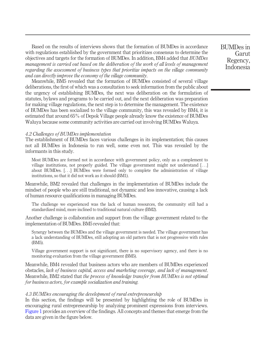Based on the results of interviews shows that the formation of BUMDes in accordance with regulations established by the government that prioritizes consensus to determine the objectives and targets for the formation of BUMDes. In addition, BM4 added that *BUMDes management is carried out based on the deliberation of the work of all levels of management regarding the assessment of business types that prioritize impacts on the village community and can directly improve the economy of the village community*.

Meanwhile, BM5 revealed that the formation of BUMDes consisted of several village deliberations, the first of which was a consultation to seek information from the public about the urgency of establishing BUMDes, the next was deliberation on the formulation of statutes, bylaws and programs to be carried out, and the next deliberation was preparation for making village regulations, the next step is to determine the management. The existence of BUMDes has been socialized to the village community, this was revealed by BM4, it is estimated that around 65% of Depok Village people already know the existence of BUMDes Waluya because some community activities are carried out involving BUMDes Waluya.

#### *4.2 Challenges of BUMDes implementation*

The establishment of BUMDes faces various challenges in its implementation; this causes not all BUMDes in Indonesia to run well, some even not. This was revealed by the informants in this study.

Most BUMDes are formed not in accordance with government policy, only as a complement to village institutions, not properly guided. The village government might not understand [...] about BUMDes. [...] BUMDes were formed only to complete the administration of village institutions, so that it did not work as it should (BM1).

Meanwhile, BM2 revealed that challenges in the implementation of BUMDes include the mindset of people who are still traditional, not dynamic and less innovative, causing a lack of human resource qualifications in managing BUMDes.

The challenge we experienced was the lack of human resources, the community still had a standardized mind, more inclined to traditional natural culture (BM2).

Another challenge is collaboration and support from the village government related to the implementation of BUMDes. BM5 revealed that:

Synergy between the BUMDes and the village government is needed. The village government has a lack understanding of BUMDes, still adopting an old pattern that is not progressive with rules (BM5).

Village government support is not significant, there is no supervisory agency, and there is no monitoring evaluation from the village government (BM5).

Meanwhile, BM4 revealed that business actors who are members of BUMDes experienced obstacles, *lack of business capital, access and marketing coverage, and lack of management*. Meanwhile, BM2 stated that *the process of knowledge transfer from BUMDes is not optimal for business actors, for example socialization and training.*

#### *4.3 BUMDes encouraging the development of rural entrepreneurship*

In this section, the findings will be presented by highlighting the role of BUMDes in encouraging rural entrepreneurship by analyzing prominent expressions from interviews. Figure 1 provides an overview of the findings. All concepts and themes that emerge from the data are given in the figure below.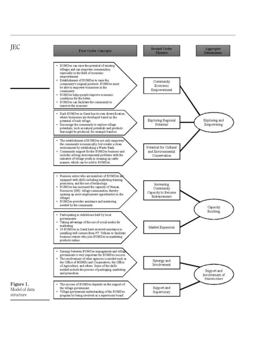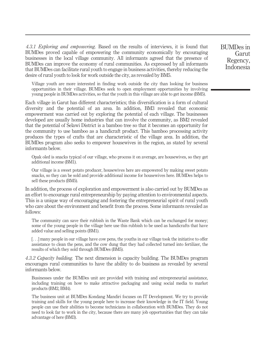*4.3.1 Exploring and empowering.* Based on the results of interviews, it is found that BUMDes proved capable of empowering the community economically by encouraging businesses in the local village community. All informants agreed that the presence of BUMDes can improve the economy of rural communities. As expressed by all informants that BUMDes can facilitate rural youth to engage in business activities, thereby reducing the desire of rural youth to look for work outside the city, as revealed by BM5.

Village youth are more interested in finding work outside the city than looking for business opportunities in their village. BUMDes seek to open employment opportunities by involving young people in BUMDes activities, so that the youth in this village are able to get income (BM5).

Each village in Garut has different characteristics; this diversification is a form of cultural diversity and the potential of an area. In addition, BM3 revealed that economic empowerment was carried out by exploring the potential of each village. The businesses developed are usually home industries that can involve the community, as BM2 revealed that the potential of Selawi District is a bamboo tree so that it becomes an opportunity for the community to use bamboo as a handicraft product. This bamboo processing activity produces the types of crafts that are characteristic of the village area. In addition, the BUMDes program also seeks to empower housewives in the region, as stated by several informants below.

Opak oled is snacks typical of our village, who process it on average, are housewives, so they get additional income (BM1).

Our village is a sweet potato producer, housewives here are empowered by making sweet potato snacks, so they can be sold and provide additional income for housewives here. BUMDes helps to sell these products (BM5).

In addition, the process of exploration and empowerment is also carried out by BUMDes as an effort to encourage rural entrepreneurship by paying attention to environmental aspects. This is a unique way of encouraging and fostering the entrepreneurial spirit of rural youth who care about the environment and benefit from the process. Some informants revealed as follows:

The community can save their rubbish in the Waste Bank which can be exchanged for money; some of the young people in the village here use this rubbish to be used as handicrafts that have added value and selling points (BM1).

[...] many people in our village have cow pens, the youths in our village took the initiative to offer assistance to clean the pens, and the cow dung that they had collected turned into fertilizer, the results of which they sold through BUMDes (BM5).

*4.3.2 Capacity building.* The next dimension is capacity building. The BUMDes program encourages rural communities to have the ability to do business as revealed by several informants below.

Businesses under the BUMDes unit are provided with training and entrepreneurial assistance, including training on how to make attractive packaging and using social media to market products (BM2, BM4).

The business unit at BUMDes Kondang Mandiri focuses on IT Development. We try to provide training and skills for the young people here to increase their knowledge in the IT field. Young people can use their abilities to become technicians in collaboration with BUMDes. They do not need to look far to work in the city, because there are many job opportunities that they can take advantage of here (BM3).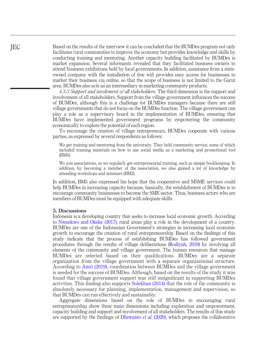Based on the results of the interview it can be concluded that the BUMDes program not only facilitates rural communities to improve the economy but provides knowledge and skills by conducting training and mentoring. Another capacity building facilitated by BUMDes is market expansion. Several informants revealed that they facilitated business owners to attend business exhibitions held by local governments. In addition, assistance from a stateowned company with the installation of free wifi provides easy access for businesses to market their business via online, so that the scope of business is not limited to the Garut area. BUMDes also acts as an intermediary in marketing community products.

*4.3.3 Support and involvment of all stakeholders.* The third dimension is the support and involvement of all stakeholders. Support from the village government influences the success of BUMDes, although this is a challenge for BUMDes managers because there are still village governments that do not focus on the BUMDes function. The village government can play a role as a supervisory board in the implementation of BUMDes, ensuring that BUMDes have implemented government programs by empowering the community economically to explore the potential of each region.

To encourage the creation of village entrepreneurs, BUMDes cooperate with various parties, as expressed by several respondents as follows:

We get training and mentoring from the university. They held community service, some of which included training materials on how to use social media as a marketing and promotional tool (BM4).

We join associations, so we regularly get entrepreneurial training, such as simple bookkeeping. In addition, by becoming a member of the association, we also gained a lot of knowledge by attending workshops and seminars (BM2).

In addition, BM5 also expressed his hope that the cooperative and MSME services could help BUMDes in increasing capacity because, basically, the establishment of BUMDes is to encourage community businesses to become the SME sector. Thus, business actors who are members of BUMDes must be equipped with adequate skills.

#### 5. Discussions

Indonesia is a developing country that seeks to increase local economic growth. According to Nwankwo and Okeke (2017), rural areas play a role in the development of a country. BUMDes are one of the Indonesian Government's strategies in increasing local economic growth to encourage the creation of rural entrepreneurship. Based on the findings of this study indicate that the process of establishing BUMDes has followed government procedures through the results of village deliberations (Rodiyah, 2019) by involving all elements of the community and village government. The human resources that manage BUMDes are selected based on their qualifications. BUMDes are a separate organization from the village government with a separate organizational structure. According to Amri (2019), coordination between BUMDes and the village government is needed for the success of BUMDes. Although, based on the results of the study it was found that village government support was still insignificant in supporting BUMDes activities. This finding also supports Solekhan (2014) that the role of the community is absolutely necessary for planning, implementation, management and supervision, so that BUMDes can run effectively and sustainably.

Aggregate dimensions based on the role of BUMDes in encouraging rural entrepreneurship show three main dimensions including exploration and empowerment, capacity building and support and involvement of all stakeholders. The results of this study are supported by the findings of Dhewanto *et al.* (2020), which proposes the collaborative

**IEC**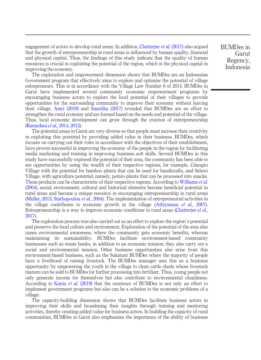engagement of actors to develop rural areas. In addition, Chatterjee *et al.* (2017) also argued that the growth of entrepreneurship in rural areas is influenced by human quality, financial and physical capital. Thus, the findings of this study indicate that the quality of human resources is crucial in exploiting the potential of the region, which is the physical capital in improving the economy.

The exploration and empowerment dimension shows that BUMDes are an Indonesian Government program that effectively aims to explore and optimize the potential of village entrepreneurs. This is in accordance with the Village Law Number 6 of 2014. BUMDes in Garut have implemented several community economic empowerment programs by encouraging business actors to explore the local potential of their villages to provide opportunities for the surrounding community to improve their economy without leaving their village. Amri (2019) and Suastika (2017) revealed that BUMDes are an effort to strengthen the rural economy and are formed based on the needs and potential of the village. Thus, local economic development can grow through the creation of entrepreneurship (Ramadani *et al.*, 2014, 2013).

The potential areas in Garut are very diverse so that people must increase their creativity in exploiting this potential by providing added value in their business. BUMDes, which focuses on carrying out their roles in accordance with the objectives of their establishment, have proven successful in improving the economy of the people in the region by facilitating media marketing and training in improving business soft skills. Several BUMDes in this study have successfully explored the potential of their area, the community has been able to see opportunities by using the wealth of their respective regions, for example, Citangtu Village with the potential for bamboo plants that can be used for handicrafts, and Selawi Village, with agriculture potential, namely, potato plants that can be processed into snacks. These products can be characteristic of their respective regions. According to Williams *et al.* (2004), social, environment, cultural and historical elements become beneficial potential in rural areas and become a unique resource in encouraging entrepreneurship in rural areas (Müller, 2013; Stathopoulou *et al.*, 2004). The implementation of entrepreneurial activities in the village contributes to economic growth in the village (Athiyaman *et al.*, 2007). Entrepreneurship is a way to improve economic conditions in rural areas (Chatterjee *et al.*, 2017).

The exploration process was also carried out as an effort to explore the region's potential and preserve the local culture and environment. Exploration of the potential of the area also raises environmental awareness, where the community gets economic benefits, whereas maintaining its sustainability. BUMDes facilitate environment-based community businesses such as waste banks, in addition to an economic mission; they also carry out a social and environmental mission. Other business opportunities also arise from this environment-based business, such as the Sukatani BUMDes where the majority of people have a livelihood of raising livestock. The BUMDes manager sees this as a business opportunity by empowering the youth in the village to clean cattle sheds whose livestock manure can be sold to BUMDes for further processing into fertilizer. Thus, young people not only generate income for themselves but also contribute to environmental cleanliness. According to Kania *et al.* (2019) that the existence of BUMDes is not only an effort to implement government programs but also can be a solution to the economic problems of a village.

The capacity-building dimension shows that BUMDes facilitate business actors in improving their skills and broadening their insights through training and mentoring activities, thereby creating added value for business actors. In building the capacity of rural communities, BUMDes in Garut also emphasizes the importance of the ability of business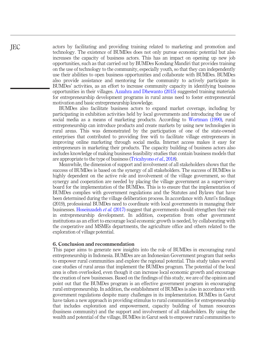actors by facilitating and providing training related to marketing and promotion and technology. The existence of BUMDes does not only pursue economic potential but also increases the capacity of business actors. This has an impact on opening up new job opportunities, such as that carried out by BUMDes Kondang Mandiri that provides training on the use of technology to the community, especially youth, so that they can independently use their abilities to open business opportunities and collaborate with BUMDes. BUMDes also provide assistance and mentoring for the community to actively participate in BUMDes' activities, as an effort to increase community capacity in identifying business opportunities in their villages. Azzahra and Dhewanto (2015) suggested training materials for entrepreneurship development programs in rural areas need to foster entrepreneurial motivation and basic entrepreneurship knowledge.

BUMDes also facilitate business actors to expand market coverage, including by participating in exhibition activities held by local governments and introducing the use of social media as a means of marketing products. According to Wortman (1990), rural entrepreneurship can introduce products and create markets by using new technologies in rural areas. This was demonstrated by the participation of one of the state-owned enterprises that contributed to providing free wifi to facilitate village entrepreneurs in improving online marketing through social media. Internet access makes it easy for entrepreneurs in marketing their products. The capacity building of business actors also includes knowledge of making business feasibility studies that contain business models that are appropriate to the type of business (Tricahyono *et al.*, 2018).

Meanwhile, the dimension of support and involvement of all stakeholders shows that the success of BUMDes is based on the synergy of all stakeholders. The success of BUMDes is highly dependent on the active role and involvement of the village government, so that synergy and cooperation are needed by placing the village government as a supervisory board for the implementation of the BUMDes. This is to ensure that the implementation of BUMDes complies with government regulations and the Statutes and Bylaws that have been determined during the village deliberation process. In accordance with Amri's findings (2019), professional BUMDes need to coordinate with local governments in managing their businesses. Hoseinzadeh *et al.* (2017) suggest that governments should strengthen their role in entrepreneurship development. In addition, cooperation from other government institutions as an effort to encourage local economic growth is needed, by collaborating with the cooperative and MSMEs departments, the agriculture office and others related to the exploration of village potential.

#### 6. Conclusion and recommendation

This paper aims to generate new insights into the role of BUMDes in encouraging rural entrepreneurship in Indonesia. BUMDes are an Indonesian Government program that seeks to empower rural communities and explore the regional potential. This study takes several case studies of rural areas that implement the BUMDes program. The potential of the local area is often overlooked, even though it can increase local economic growth and encourage the creation of new businesses. Based on the findings of this study, we are of the opinion and point out that the BUMDes program is an effective government program in encouraging rural entrepreneurship. In addition, the establishment of BUMDes is also in accordance with government regulations despite many challenges in its implementation. BUMDes in Garut have taken a new approach in providing stimulus to rural communities for entrepreneurship that includes exploration and empowerment, capacity building of human resources (business community) and the support and involvement of all stakeholders. By using the wealth and potential of the village, BUMDes in Garut seek to empower rural communities to

**IEC**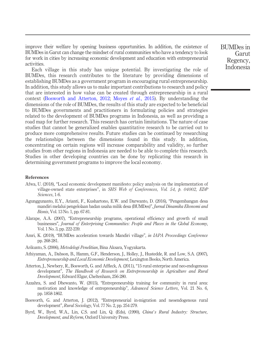improve their welfare by opening business opportunities. In addition, the existence of BUMDes in Garut can change the mindset of rural communities who have a tendency to look for work in cities by increasing economic development and education with entrepreneurial activities.

Each village in this study has unique potential. By investigating the role of BUMDes, this research contributes to the literature by providing dimensions of establishing BUMDes as a government program in encouraging rural entrepreneurship. In addition, this study allows us to make important contributions to research and policy that are interested in how value can be created through entrepreneurship in a rural context (Bosworth and Atterton, 2012; Moyes *et al.*, 2015). By understanding the dimensions of the role of BUMDes, the results of this study are expected to be beneficial to BUMDes governments and practitioners in formulating policies and strategies related to the development of BUMDes programs in Indonesia, as well as providing a road map for further research. This research has certain limitations. The nature of case studies that cannot be generalized enables quantitative research to be carried out to produce more comprehensive results. Future studies can be continued by researching the relationships between the dimensions found in this study. In addition, concentrating on certain regions will increase comparability and validity, so further studies from other regions in Indonesia are needed to be able to complete this research. Studies in other developing countries can be done by replicating this research in determining government programs to improve the local economy.

#### References

- Afwa, U. (2018), "Local economic development manifesto: policy analysis on the implementation of village-owned state enterprises", in *SHS Web of Conferences, Vol. 54, p. 04002, EDP Sciences*, 1-6.
- Agunggunanto, E.Y., Arianti, F., Kushartono, E.W. and Darwanto, D. (2016), "Pengembangan desa mandiri melalui pengelolaan badan usaha milik desa (BUMDes)", *Jurnal Dinamika Ekonomi and Bisnis*, Vol. 13 No. 1, pp. 67-81.
- Alarape, A.A. (2007), "Entrepreneurship programs, operational efficiency and growth of small businesses", *Journal of Enterprising Communities: People and Places in the Global Economy*, Vol. 1 No. 3, pp. 222-239.
- Amri, K. (2019), "BUMDes acceleration towards Mandiri village", *in IAPA Proceedings Conference* pp. 268-281.
- Arikunto, S. (2006), *Metodelogi Penelitian*, Bina Aksara, Yogyakarta.
- Athiyaman, A., Dabson, B., Hamm, G.F., Henderson, J., Holley, J., Hustedde, R. and Low, S.A. (2007), *Entrepreneurship and Local Economic Development*, Lexington Books, North America.
- Atterton, J., Newbery, R., Bosworth, G. and Affleck, A. (2011), "15 rural enterprise and neo-endogenous development", *The Handbook of Research on Entrepreneurship in Agriculture and Rural Development*, Edward Elgar, Cheltenham, 256-280.
- Azzahra, S. and Dhewanto, W. (2015), "Entrepreneurship training for community in rural area: motivation and knowledge of entrepreneurship", *Advanced Science Letters*, Vol. 21 No. 6, pp. 1858-1862.
- Bosworth, G. and Atterton, J. (2012), "Entrepreneurial in-migration and neoendogenous rural development", *Rural Sociology*, Vol. 77 No. 2, pp. 254-279.
- Byrd, W., Byrd, W.A., Lin, C.S. and Lin, Q. (Eds), (1990), *China*'*s Rural Industry: Structure, Development, and Reform*, Oxford University Press.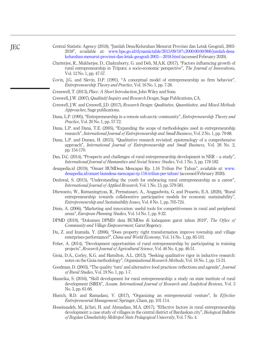| Central Statistic Agency (2018), "Jumlah Desa/Kelurahan Menurut Provinsi dan Letak Geografi, 2003- |
|----------------------------------------------------------------------------------------------------|
| 2018", available at: www.bps.go.id/dynamictable/2015/09/18%2000:00:00/906/jumlah-desa-             |
| kelurahan menurut provinsi dan letak geografi 2003—2018 html (accessed February 2020).             |

- Chatterjee, R., Mukherjee, D., Chakraborty, G. and Deb, M.A.K. (2017), "Factors influencing growth of rural entrepreneurship in Tripura: a socio-economic perspective", *The Journal of Innovations*, Vol. 12 No. 1, pp. 47-57.
- Covin, J.G. and Slevin, D.P. (1991), "A conceptual model of entrepreneurship as firm behavior", *Entrepreneurship Theory and Practice*, Vol. 16 No. 1, pp. 7-26.
- Cresswell, T. (2013), *Place: A Short Introduction*, John Wiley and Sons.
- Creswell, J.W. (2007), *Qualitatif Inquiry and Research Design*, Sage Publications, CA.
- Creswell, J.W. and Creswell, J.D. (2017), *Research Design: Qualitative, Quantitative, and Mixed Methods Approaches*, Sage publications.
- Dana, L.P. (1995), "Entrepreneurship in a remote sub-arctic community", *Entrepreneurship Theory and Practice*, Vol. 20 No. 1, pp. 57-72.
- Dana, L.P. and Dana, T.E. (2005), "Expanding the scope of methodologies used in entrepreneurship research", *International Journal of Entrepreneurship and Small Business*, Vol. 2 No. 1, pp. 79-88.
- Dana, L.P. and Dumez, H. (2015), "Qualitative research revisited: epistemology of a comprehensive approach", *International Journal of Entrepreneurship and Small Business*, Vol. 26 No. 2, pp. 154-170.
- Das, D.C. (2014), "Prospects and challenges of rural entrepreneurship development in NER a study", *International Journal of Humanities and Social Science Studies*, Vol. 1 No. 3, pp. 178-182.
- desapedia.id (2019), "Omzet BUMDesa Mencapai Rp. 1,16 Triliun Per Tahun", available at: [www.](https://www.desapedia.id/omzet-bumdesa-mencapai-rp-116-triliun-per-tahun/) [desapedia.id/omzet-bumdesa-mencapai-rp-116-triliun-per-tahun/](https://www.desapedia.id/omzet-bumdesa-mencapai-rp-116-triliun-per-tahun/) (accessed February 2020).
- Deshwal, S. (2015), "Understanding the youth for embracing rural entrepreneurship as a career", *International Journal of Applied Research*, Vol. 1 No. 13, pp. 579-581.
- Dhewanto, W., Ratnaningtyas, R., Permatasari, A., Anggadwita, G. and Prasetio, E.A. (2020), "Rural entrepreneurship: towards collaborative participative models for economic sustainability", *Entrepreneurship and Sustainability Issues*, Vol. 8 No. 1, pp. 705-724.
- Dinis, A. (2006), "Marketing and innovation: useful tools for competitiveness in rural and peripheral areas", *European Planning Studies*, Vol. 14 No. 1, pp. 9-22.
- DPMD (2019), "Dokumen DPMD: data BUMDes di kabupaten garut tahun 2019", *The Of*fi*ce of Community and Village Empowerment*, Garut Regency.
- Du, Z. and Izumida, Y. (2006), "Does property right transformation improve township and village enterprises performance?", *China and World Economy*, Vol. 14 No. 1, pp. 85-101.
- Feher, A. (2014), "Development opportunities of rural entrepreneurship by participating in training projects", *Research Journal of Agricultural Science*, Vol. 46 No. 4, pp. 46-51.
- Gioia, D.A., Corley, K.G. and Hamilton, A.L. (2013), "Seeking qualitative rigor in inductive research: notes on the Gioia methodology", *Organizational Research Methods*, Vol. 16 No. 1, pp. 15-31.
- Goodman, D. (2003), "The quality 'turn' and alternative food practices: reflections and agenda", *Journal of Rural Studies*, Vol. 19 No. 1, pp. 1-7.
- Hazarika, S. (2016), "Skill development for rural entrepreneurship: a study on state institute of rural development (SIRD)", *Assam. International Journal of Research and Analytical Reviews*, Vol. 3 No. 3, pp. 61-66.
- Hisrich, R.D. and Ramadani, V. (2017), "Organizing an entrepreneurial venture", In *Effective Entrepreneurial Management*, Springer, Cham, pp. 101-114.
- Hoseinzadeh, M., Ja'fari, H. and Ahmadian, M.A. (2017), "Effective factors in rural entrepreneurship development: a case study of villages in the central district of Bardaskan city", *Biological Bulletin of Bogdan Chmelnitskiy Melitopol State Pedagogical University*, Vol. 7 No. 4.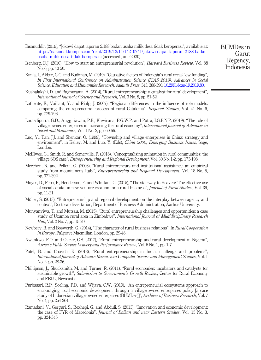- Ihsanuddin (2019), "Jokowi dapat laporan 2.188 badan usaha milik desa tidak beroperasi", available at: [https://nasional.kompas.com/read/2019/12/11/14210741/jokowi-dapat-laporan-2188-badan](https://nasional.kompas.com/read/2019/12/11/14210741/jokowi-dapat-laporan-2188-badan-usaha-milik-desa-tidak-beroperasi)[usaha-milik-desa-tidak-beroperasi](https://nasional.kompas.com/read/2019/12/11/14210741/jokowi-dapat-laporan-2188-badan-usaha-milik-desa-tidak-beroperasi) (accessed June 2020).
- Isenberg, D.J. (2010), "How to start an entrepreneurial revolution", *Harvard Business Review*, Vol. 88 No. 6, pp. 40-50.
- Kania, I., Akbar, G.G. and Budiman, M. (2019), "Causative factors of Indonesia's rural areas' low funding", *In First International Conference on Administration Science (ICAS 2019). Advances in Social Science, Education and Humanities Research, Atlantis Press*, 343, 388-390. [10.2991/icas-19.2019.80](http://dx.doi.org/10.2991/icas-19.2019.80).
- Kushalakshi, D. and Raghurama, A. (2014), "Rural entrepreneurship: a catalyst for rural development", *International Journal of Science and Research*, Vol. 3 No. 8, pp. 51-52.
- Lafuente, E., Vaillant, Y. and Rialp, J. (2007), "Regional differences in the influence of role models: comparing the entrepreneurial process of rural Catalonia", *Regional Studies*, Vol. 41 No. 6, pp. 779-796.
- Larasdiputra, G.D., Anggiriawan, P.B., Kawisana, P.G.W.P. and Putra, I.G.B.N.P. (2019), "The role of village owned enterprises in increasing the rural economy", *International Journal of Advances in Social and Economics*, Vol. 1 No. 2, pp. 60-66.
- Luo, Y., Tan, J.J. and Shenkar, O. (1999), "Township and village enterprises in China: strategy and environment", in Kelley, M. and Luo, Y. (Eds), *China 2000, Emerging Business Issues*, Sage, London.
- McElwee, G., Smith, R. and Somerville, P. (2018), "Conceptualising animation in rural communities: the village SOS case", *Entrepreneurship and Regional Development*, Vol. 30 No. 1-2, pp. 173-198.
- Meccheri, N. and Pelloni, G. (2006), "Rural entrepreneurs and institutional assistance: an empirical study from mountainous Italy", *Entrepreneurship and Regional Development*, Vol. 18 No. 5, pp. 371-392.
- Moyes, D., Ferri, P., Henderson, F. and Whittam, G. (2015), "The stairway to Heaven? The effective use of social capital in new venture creation for a rural business", *Journal of Rural Studies*, Vol. 39, pp. 11-21.
- Müller, S. (2013), "Entrepreneurship and regional development: on the interplay between agency and context", Doctoral dissertation, Department of Business Administration, Aarhus University.
- Munyanyiwa, T. and Mutsau, M. (2015), "Rural entrepreneurship challenges and opportunities: a case study of Uzumba rural area in Zimbabwe", *International Journal of Multidisciplinary Research Hub*, Vol. 2 No. 7, pp. 15-20.
- Newbery, R. and Bosworth, G. (2014), "The character of rural business relations", In *Rural Cooperation in Europe*, Palgrave Macmillan, London, pp. 29-48.
- Nwankwo, F.O. and Okeke, C.S. (2017), "Rural entrepreneurship and rural development in Nigeria", *Africa*'*s Public Service Delivery and Performance Review*, Vol. 5 No. 1, pp. 1-7.
- Patel, B. and Chavda, K. (2013), "Rural entrepreneurship in India: challenge and problems", *International Journal of Advance Research in Computer Science and Management Studies*, Vol. 1 No. 2, pp. 28-36.
- Phillipson, J., Shucksmith, M. and Turner, R. (2011), "Rural economies: incubators and catalysts for sustainable growth", *Submission to Government*'*s Growth Review*, Centre for Rural Economy and RELU, Newcastle.
- Purbasari, R.P., Soeling, P.D. and Wijaya, C.W. (2019), "An entrepreneurial ecosystems approach to encouraging local economic development through a village-owned enterprises policy [a case study of Indonesian village-owned enterprises (BUMDes)]", *Archives of Business Research*, Vol. 7 No. 4, pp. 254-264.
- Ramadani, V., Gërguri, S., Rexhepi, G. and Abduli, S. (2013), "Innovation and economic development: the case of FYR of Macedonia", *Journal of Balkan and near Eastern Studies*, Vol. 15 No. 3, pp. 324-345.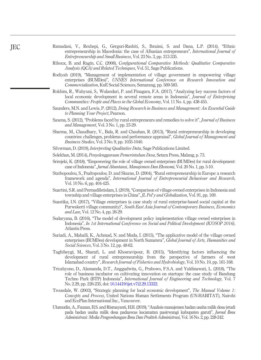- Ramadani, V., Rexhepi, G., Gërguri-Rashiti, S., Ibraimi, S. and Dana, L.P. (2014), "Ethnic entrepreneurship in Macedonia: the case of Albanian entrepreneurs", *International Journal of Entrepreneurship and Small Business*, Vol. 23 No. 3, pp. 313-335.
- Rihoux, B. and Ragin, C.C. (2008), *Con*fi*gurational Comparative Methods: Qualitative Comparative Analysis (QCA) and Related Techniques*, Vol. 51, Sage Publications.
- Rodiyah (2019), "Management of implementation of village government in empowering village enterprises (BUMDes)", *UNNES International Conference on Research Innovation and Commercialization*, KnE Social Sciences, Semarang, pp. 569-583.
- Rokhim, R., Wahyuni, S., Wulandari, P. and Pinagara, F.A. (2017), "Analyzing key success factors of local economic development in several remote areas in Indonesia", *Journal of Enterprising Communities: People and Places in the Global Economy*, Vol. 11 No. 4, pp. 438-455.
- Saunders, M.N. and Lewis, P. (2012), *Doing Research in Business and Management: An Essential Guide to Planning Your Project*, Pearson.
- Saxena, S. (2012), "Problems faced by rural entrepreneurs and remedies to solve it", *Journal of Business and Management*, Vol. 3 No. 1, pp. 23-29.
- Sharma, M., Chaudhary, V., Bala, R. and Chauhan, R. (2013), "Rural entrepreneurship in developing countries: challenges, problems and performance appraisal", *Global Journal of Management and Business Studies*, Vol. 3 No. 9, pp. 1035-1040.
- Silverman, D. (2019), *Interpreting Qualitative Data*, Sage Publications Limited.
- Solekhan, M. (2014), *Penyelenggaraan Pemerintahan Desa*, Setara Press, Malang, p. 73.
- Srirejeki, K. (2018), "Empowering the role of village owned enterprises (BUMDes) for rural development: case of Indonesia", *Jurnal Akuntansi, Manajemen Dan Ekonomi*, Vol. 20 No. 1, pp. 5-10.
- Stathopoulou, S., Psaltopoulos, D. and Skuras, D. (2004), "Rural entrepreneurship in Europe: a research framework and agenda", *International Journal of Entrepreneurial Behaviour and Research*, Vol. 10 No. 6, pp. 404-425.
- Suartini, S.R. and PermadiIstislam, I. (2019), "Comparison of village-owned enterprises in Indonesia and township and village enterprises in China", *JL Pol*'*y and Globalization*, Vol. 91, pp. 169.
- Suastika, I.N. (2017), "Village enterprises (a case study of rural enterprise-based social capital at the Purwakerti village community)", *South East Asia Journal of Contemporary Business, Economics and Law*, Vol. 12 No. 4, pp. 26-29.
- Sudaryana, B. (2016), "The model of development policy implementation village owned enterprises in Indonesia", *In 1st International Conference on Social and Political Development (ICOSOP 2016)*, Atlantis Press.
- Suriadi, A., Mahalli, K., Achmad, N. and Muda, I. (2015), "The applicative model of the village owned enterprises (BUMDes) development in North Sumatera", *Global Journal of Arts, Humanities and Social Sciences*, Vol. 3 No. 12, pp. 48-62.
- Taghibeygi, M., Sharafi, L. and Khosravipour, B. (2015), "Identifying factors influencing the development of rural entrepreneurship from the perspective of farmers of west Islamabad country", *Research Journal of Fisheries and Hydrobiology*, Vol. 10 No. 10, pp. 161-168.
- Tricahyono, D., Alamanda, D.T., Anggadwita, G., Prabowo, F.S.A. and Yuldinawati, L. (2018), "The role of business incubator on cultivating innovation on startups: the case study of Bandung Techno Park (BTP) Indonesia", *International Journal of Engineering and Technology*, Vol. 7 No. 2.29, pp. 226-235, doi: [10.14419/ijet.v7i2.29.13322](http://dx.doi.org/10.14419/ijet.v7i2.29.13322).
- Trousdale, W. (2003), "Strategic planning for local economic development", *The Manual Volume 1: Concepts and Process*, United Nations Human Settlements Program (UN-HABITAT), Nairobi and EcoPlan International Inc., Vancouver.
- Ulumudin, A., Fauzan, H.S. and Rismayanti, H.H. (2019),"Analisis manajemen badan usaha milik desa (studi pada badan usaha milik desa padaawas kecamatan pasirwangi kabupaten garut)", *Jurnal Ilmu Administrasi: Media Pengembangan Ilmu Dan Praktek Administrasi*, Vol. 16 No. 2, pp. 228-242.